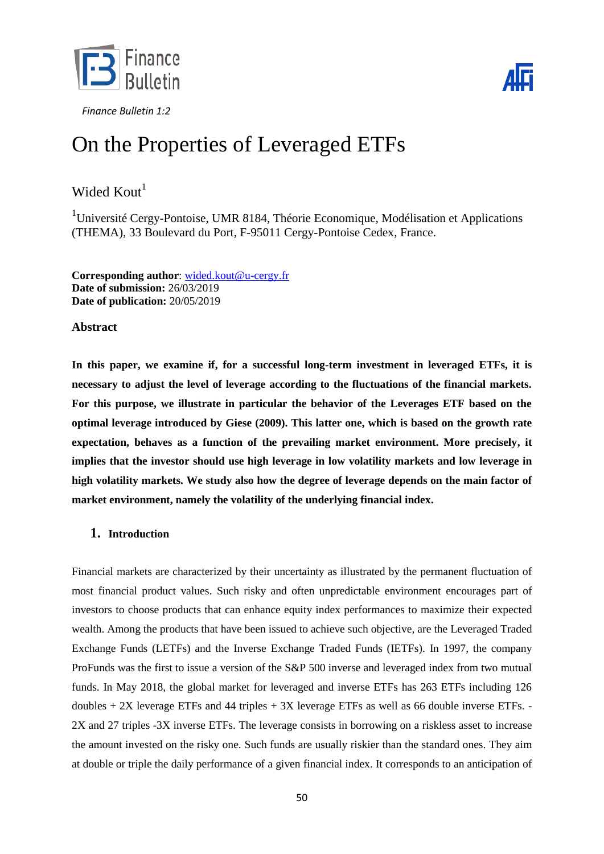



# On the Properties of Leveraged ETFs

# Wided  $K$ out $<sup>1</sup>$ </sup>

 $1$ Université Cergy-Pontoise, UMR 8184, Théorie Economique, Modélisation et Applications (THEMA), 33 Boulevard du Port, F-95011 Cergy-Pontoise Cedex, France.

**Corresponding author**: [wided.kout@u-cergy.fr](mailto:wided.kout@u-cergy.fr) **Date of submission:** 26/03/2019 **Date of publication:** 20/05/2019

# **Abstract**

**In this paper, we examine if, for a successful long-term investment in leveraged ETFs, it is necessary to adjust the level of leverage according to the fluctuations of the financial markets. For this purpose, we illustrate in particular the behavior of the Leverages ETF based on the optimal leverage introduced by Giese (2009). This latter one, which is based on the growth rate expectation, behaves as a function of the prevailing market environment. More precisely, it implies that the investor should use high leverage in low volatility markets and low leverage in high volatility markets. We study also how the degree of leverage depends on the main factor of market environment, namely the volatility of the underlying financial index.**

# **1. Introduction**

Financial markets are characterized by their uncertainty as illustrated by the permanent fluctuation of most financial product values. Such risky and often unpredictable environment encourages part of investors to choose products that can enhance equity index performances to maximize their expected wealth. Among the products that have been issued to achieve such objective, are the Leveraged Traded Exchange Funds (LETFs) and the Inverse Exchange Traded Funds (IETFs). In 1997, the company ProFunds was the first to issue a version of the S&P 500 inverse and leveraged index from two mutual funds. In May 2018, the global market for leveraged and inverse ETFs has 263 ETFs including 126 doubles  $+ 2X$  leverage ETFs and 44 triples  $+ 3X$  leverage ETFs as well as 66 double inverse ETFs. 2X and 27 triples -3X inverse ETFs. The leverage consists in borrowing on a riskless asset to increase the amount invested on the risky one. Such funds are usually riskier than the standard ones. They aim at double or triple the daily performance of a given financial index. It corresponds to an anticipation of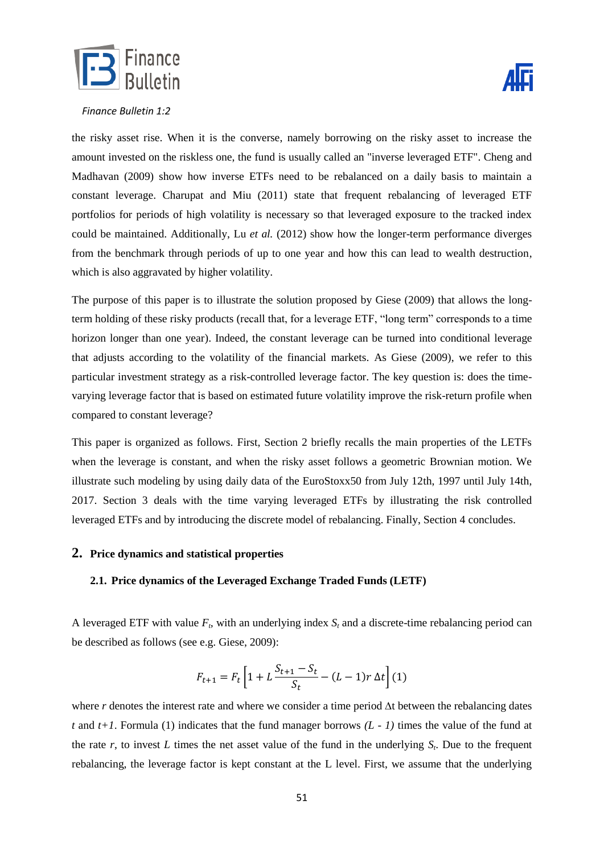

the risky asset rise. When it is the converse, namely borrowing on the risky asset to increase the amount invested on the riskless one, the fund is usually called an "inverse leveraged ETF". Cheng and Madhavan (2009) show how inverse ETFs need to be rebalanced on a daily basis to maintain a constant leverage. Charupat and Miu (2011) state that frequent rebalancing of leveraged ETF portfolios for periods of high volatility is necessary so that leveraged exposure to the tracked index could be maintained. Additionally, Lu *et al.* (2012) show how the longer-term performance diverges from the benchmark through periods of up to one year and how this can lead to wealth destruction, which is also aggravated by higher volatility.

The purpose of this paper is to illustrate the solution proposed by Giese (2009) that allows the longterm holding of these risky products (recall that, for a leverage ETF, "long term" corresponds to a time horizon longer than one year). Indeed, the constant leverage can be turned into conditional leverage that adjusts according to the volatility of the financial markets. As Giese (2009), we refer to this particular investment strategy as a risk-controlled leverage factor. The key question is: does the timevarying leverage factor that is based on estimated future volatility improve the risk-return profile when compared to constant leverage?

This paper is organized as follows. First, Section 2 briefly recalls the main properties of the LETFs when the leverage is constant, and when the risky asset follows a geometric Brownian motion. We illustrate such modeling by using daily data of the EuroStoxx50 from July 12th, 1997 until July 14th, 2017. Section 3 deals with the time varying leveraged ETFs by illustrating the risk controlled leveraged ETFs and by introducing the discrete model of rebalancing. Finally, Section 4 concludes.

## **2. Price dynamics and statistical properties**

#### **2.1. Price dynamics of the Leveraged Exchange Traded Funds (LETF)**

A leveraged ETF with value  $F<sub>t</sub>$ , with an underlying index  $S<sub>t</sub>$  and a discrete-time rebalancing period can be described as follows (see e.g. Giese, 2009):

$$
F_{t+1} = F_t \left[ 1 + L \frac{S_{t+1} - S_t}{S_t} - (L - 1)r \Delta t \right] (1)
$$

where *r* denotes the interest rate and where we consider a time period ∆t between the rebalancing dates *t* and *t+1*. Formula (1) indicates that the fund manager borrows *(L - 1)* times the value of the fund at the rate  $r$ , to invest  $L$  times the net asset value of the fund in the underlying  $S_t$ . Due to the frequent rebalancing, the leverage factor is kept constant at the L level. First, we assume that the underlying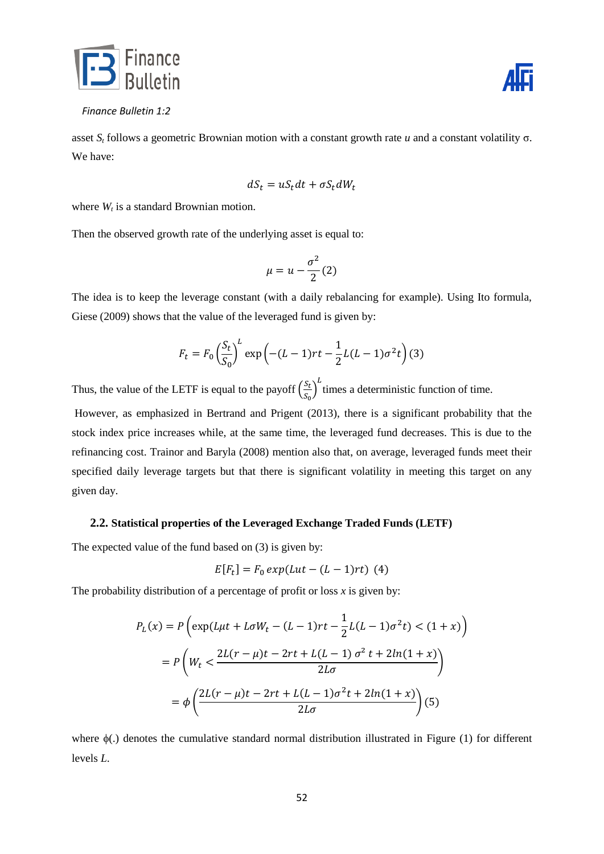



asset *S<sup>t</sup>* follows a geometric Brownian motion with a constant growth rate *u* and a constant volatility σ. We have:

$$
dS_t = uS_t dt + \sigma S_t dW_t
$$

where  $W_t$  is a standard Brownian motion.

Then the observed growth rate of the underlying asset is equal to:

$$
\mu=u-\frac{\sigma^2}{2}(2)
$$

The idea is to keep the leverage constant (with a daily rebalancing for example). Using Ito formula, Giese (2009) shows that the value of the leveraged fund is given by:

$$
F_t = F_0 \left(\frac{S_t}{S_0}\right)^L \exp\left(-(L-1)rt - \frac{1}{2}L(L-1)\sigma^2 t\right)
$$
(3)

Thus, the value of the LETF is equal to the payoff  $\left(\frac{S}{c}\right)$  $\left(\frac{S_t}{S_0}\right)^L$  times a deterministic function of time.

However, as emphasized in Bertrand and Prigent (2013), there is a significant probability that the stock index price increases while, at the same time, the leveraged fund decreases. This is due to the refinancing cost. Trainor and Baryla (2008) mention also that, on average, leveraged funds meet their specified daily leverage targets but that there is significant volatility in meeting this target on any given day.

#### **2.2. Statistical properties of the Leveraged Exchange Traded Funds (LETF)**

The expected value of the fund based on (3) is given by:

$$
E[F_t] = F_0 \exp(Lut - (L - 1)rt)
$$
 (4)

The probability distribution of a percentage of profit or loss  $x$  is given by:

$$
P_L(x) = P\left(\exp(L\mu t + L\sigma W_t - (L-1)rt - \frac{1}{2}L(L-1)\sigma^2 t\right) < (1+x)\right)
$$
\n
$$
= P\left(W_t < \frac{2L(r-\mu)t - 2rt + L(L-1)\sigma^2 t + 2ln(1+x)}{2L\sigma}\right)
$$
\n
$$
= \phi\left(\frac{2L(r-\mu)t - 2rt + L(L-1)\sigma^2 t + 2ln(1+x)}{2L\sigma}\right) (5)
$$

where  $\phi(.)$  denotes the cumulative standard normal distribution illustrated in Figure (1) for different levels *L*.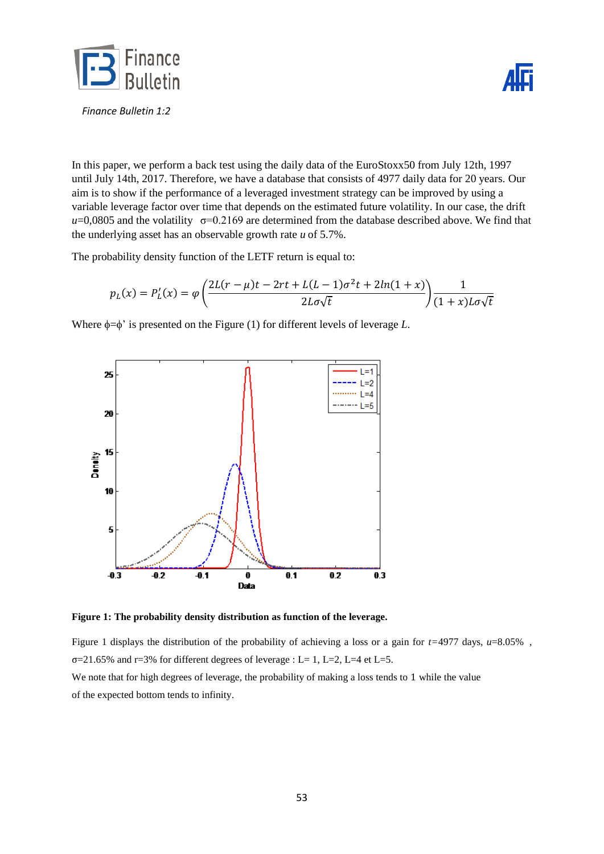



In this paper, we perform a back test using the daily data of the EuroStoxx50 from July 12th, 1997 until July 14th, 2017. Therefore, we have a database that consists of 4977 daily data for 20 years. Our aim is to show if the performance of a leveraged investment strategy can be improved by using a variable leverage factor over time that depends on the estimated future volatility. In our case, the drift  $u=0.0805$  and the volatility  $\sigma=0.2169$  are determined from the database described above. We find that the underlying asset has an observable growth rate *u* of 5.7%.

The probability density function of the LETF return is equal to:

$$
p_L(x) = P'_L(x) = \varphi\left(\frac{2L(r-\mu)t - 2rt + L(L-1)\sigma^2t + 2ln(1+x)}{2L\sigma\sqrt{t}}\right)\frac{1}{(1+x)L\sigma\sqrt{t}}
$$

Where  $\phi = \phi'$  is presented on the Figure (1) for different levels of leverage *L*.





Figure 1 displays the distribution of the probability of achieving a loss or a gain for *t=*4977 days, *u*=8.05% ,  $\sigma$ =21.65% and r=3% for different degrees of leverage : L= 1, L=2, L=4 et L=5.

We note that for high degrees of leverage, the probability of making a loss tends to 1 while the value of the expected bottom tends to infinity.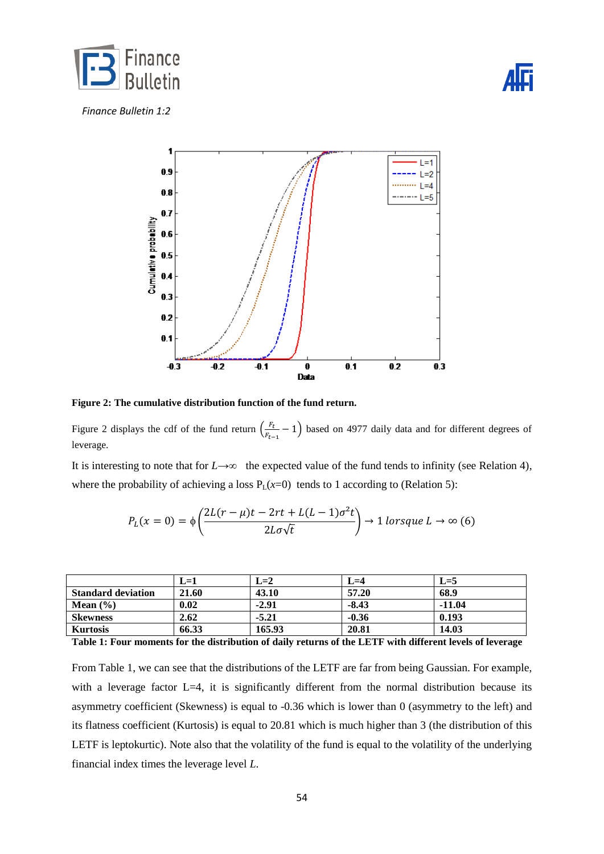





**Figure 2: The cumulative distribution function of the fund return.** 

Figure 2 displays the cdf of the fund return  $\left(\frac{F_{\text{S}}}{F_{\text{S}}}\right)$  $\frac{r_t}{F_{t-1}}$  – 1) based on 4977 daily data and for different degrees of leverage.

It is interesting to note that for  $L \rightarrow \infty$  the expected value of the fund tends to infinity (see Relation 4), where the probability of achieving a loss  $P_L(x=0)$  tends to 1 according to (Relation 5):

$$
P_L(x=0) = \phi \left( \frac{2L(r-\mu)t - 2rt + L(L-1)\sigma^2 t}{2L\sigma\sqrt{t}} \right) \to 1 \text{ lorsque } L \to \infty (6)
$$

|                           | $L = 1$ | $L=2$   | $L=4$   | $L=5$    |
|---------------------------|---------|---------|---------|----------|
| <b>Standard deviation</b> | 21.60   | 43.10   | 57.20   | 68.9     |
| Mean $(\% )$              | 0.02    | $-2.91$ | $-8.43$ | $-11.04$ |
| <b>Skewness</b>           | 2.62    | $-5.21$ | $-0.36$ | 0.193    |
| <b>Kurtosis</b>           | 66.33   | 165.93  | 20.81   | 14.03    |

**Table 1: Four moments for the distribution of daily returns of the LETF with different levels of leverage** 

From Table 1, we can see that the distributions of the LETF are far from being Gaussian. For example, with a leverage factor L=4, it is significantly different from the normal distribution because its asymmetry coefficient (Skewness) is equal to -0.36 which is lower than 0 (asymmetry to the left) and its flatness coefficient (Kurtosis) is equal to 20.81 which is much higher than 3 (the distribution of this LETF is leptokurtic). Note also that the volatility of the fund is equal to the volatility of the underlying financial index times the leverage level *L*.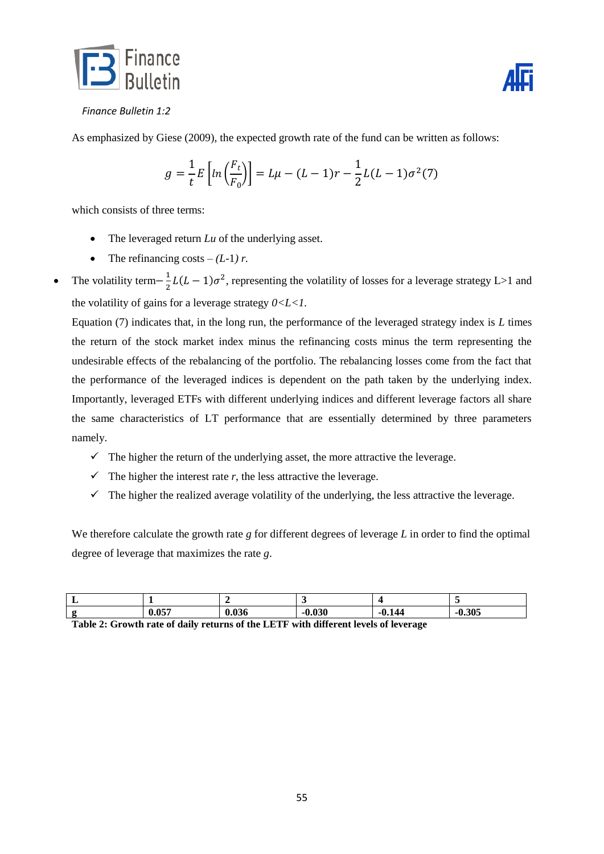



As emphasized by Giese (2009), the expected growth rate of the fund can be written as follows:

$$
g = \frac{1}{t} E \left[ ln \left( \frac{F_t}{F_0} \right) \right] = L\mu - (L - 1)r - \frac{1}{2}L(L - 1)\sigma^2(7)
$$

which consists of three terms:

- The leveraged return *Lu* of the underlying asset.
- The refinancing costs  $-(L-1) r$ .
- The volatility term $-\frac{1}{2}$  $\frac{1}{2}L(L-1)\sigma^2$ , representing the volatility of losses for a leverage strategy L>1 and the volatility of gains for a leverage strategy  $0 < L < 1$ .

Equation (7) indicates that, in the long run, the performance of the leveraged strategy index is *L* times the return of the stock market index minus the refinancing costs minus the term representing the undesirable effects of the rebalancing of the portfolio. The rebalancing losses come from the fact that the performance of the leveraged indices is dependent on the path taken by the underlying index. Importantly, leveraged ETFs with different underlying indices and different leverage factors all share the same characteristics of LT performance that are essentially determined by three parameters namely.

- $\checkmark$  The higher the return of the underlying asset, the more attractive the leverage.
- $\checkmark$  The higher the interest rate *r*, the less attractive the leverage.
- $\checkmark$  The higher the realized average volatility of the underlying, the less attractive the leverage.

We therefore calculate the growth rate *g* for different degrees of leverage *L* in order to find the optimal degree of leverage that maximizes the rate *g*.

| л. |     |    |    |        |               |
|----|-----|----|----|--------|---------------|
| c  | 057 | vv | -- | -v.14- | 20E<br>-9.99. |

**Table 2: Growth rate of daily returns of the LETF with different levels of leverage**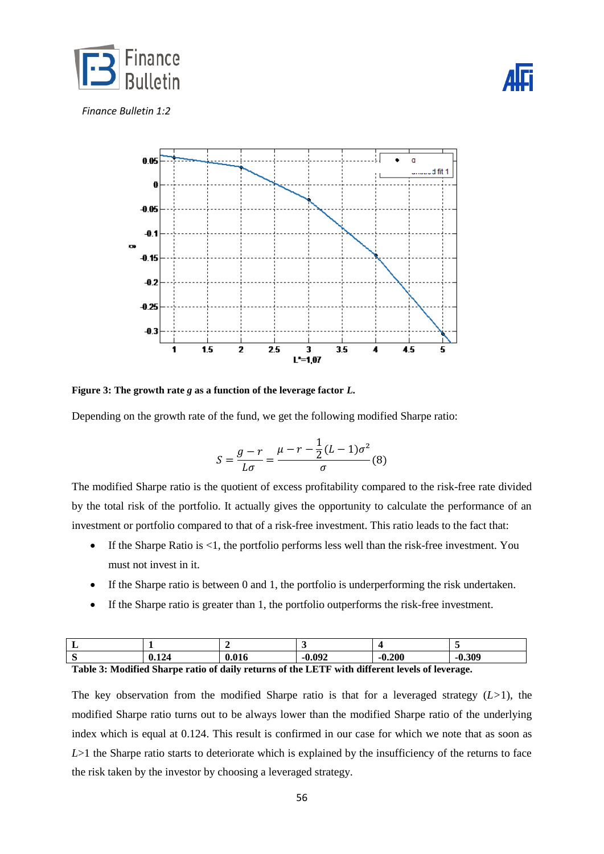



**Figure 3: The growth rate** *g* **as a function of the leverage factor** *L***.**

Depending on the growth rate of the fund, we get the following modified Sharpe ratio:

$$
S = \frac{g - r}{L\sigma} = \frac{\mu - r - \frac{1}{2}(L - 1)\sigma^2}{\sigma} \tag{8}
$$

The modified Sharpe ratio is the quotient of excess profitability compared to the risk-free rate divided by the total risk of the portfolio. It actually gives the opportunity to calculate the performance of an investment or portfolio compared to that of a risk-free investment. This ratio leads to the fact that:

- $\bullet$  If the Sharpe Ratio is <1, the portfolio performs less well than the risk-free investment. You must not invest in it.
- If the Sharpe ratio is between 0 and 1, the portfolio is underperforming the risk undertaken.
- If the Sharpe ratio is greater than 1, the portfolio outperforms the risk-free investment.

| л. |                          |       |              |                   |          |
|----|--------------------------|-------|--------------|-------------------|----------|
| ັ  | 12 <sub>A</sub><br>V.LZT | 0.016 | 9.092<br>-11 | ኅሰሰ<br>-v.<br>ZUU | $-0.309$ |

**Table 3: Modified Sharpe ratio of daily returns of the LETF with different levels of leverage.**

The key observation from the modified Sharpe ratio is that for a leveraged strategy (*L>*1), the modified Sharpe ratio turns out to be always lower than the modified Sharpe ratio of the underlying index which is equal at 0.124. This result is confirmed in our case for which we note that as soon as *L*>1 the Sharpe ratio starts to deteriorate which is explained by the insufficiency of the returns to face the risk taken by the investor by choosing a leveraged strategy.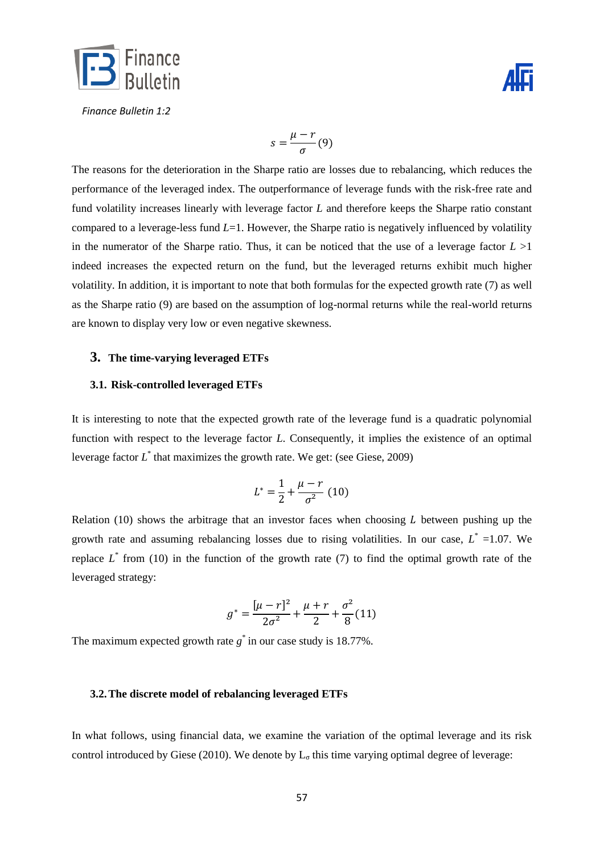

$$
s = \frac{\mu - r}{\sigma}(9)
$$

The reasons for the deterioration in the Sharpe ratio are losses due to rebalancing, which reduces the performance of the leveraged index. The outperformance of leverage funds with the risk-free rate and fund volatility increases linearly with leverage factor *L* and therefore keeps the Sharpe ratio constant compared to a leverage-less fund *L*=1. However, the Sharpe ratio is negatively influenced by volatility in the numerator of the Sharpe ratio. Thus, it can be noticed that the use of a leverage factor  $L > 1$ indeed increases the expected return on the fund, but the leveraged returns exhibit much higher volatility. In addition, it is important to note that both formulas for the expected growth rate (7) as well as the Sharpe ratio (9) are based on the assumption of log-normal returns while the real-world returns are known to display very low or even negative skewness.

#### **3. The time-varying leveraged ETFs**

#### **3.1. Risk-controlled leveraged ETFs**

It is interesting to note that the expected growth rate of the leverage fund is a quadratic polynomial function with respect to the leverage factor *L*. Consequently, it implies the existence of an optimal leverage factor *L* \* that maximizes the growth rate. We get: (see Giese, 2009)

$$
L^* = \frac{1}{2} + \frac{\mu - r}{\sigma^2} \ (10)
$$

Relation (10) shows the arbitrage that an investor faces when choosing  $L$  between pushing up the growth rate and assuming rebalancing losses due to rising volatilities. In our case,  $L^* = 1.07$ . We replace  $L^*$  from (10) in the function of the growth rate (7) to find the optimal growth rate of the leveraged strategy:

$$
g^* = \frac{[\mu - r]^2}{2\sigma^2} + \frac{\mu + r}{2} + \frac{\sigma^2}{8}(11)
$$

The maximum expected growth rate  $g^*$  in our case study is 18.77%.

#### **3.2.The discrete model of rebalancing leveraged ETFs**

In what follows, using financial data, we examine the variation of the optimal leverage and its risk control introduced by Giese (2010). We denote by  $L_{\sigma}$  this time varying optimal degree of leverage: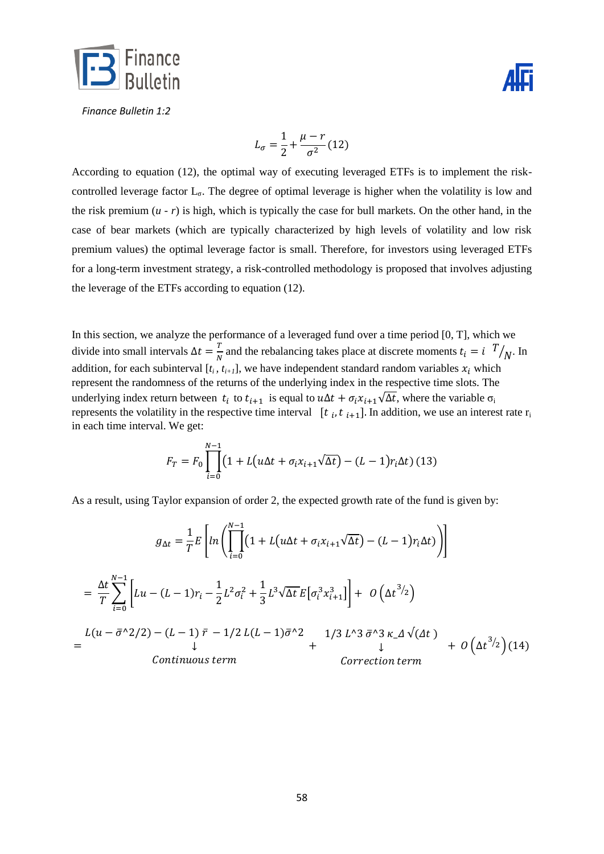



$$
L_{\sigma} = \frac{1}{2} + \frac{\mu - r}{\sigma^2} (12)
$$

According to equation (12), the optimal way of executing leveraged ETFs is to implement the riskcontrolled leverage factor  $L_{\sigma}$ . The degree of optimal leverage is higher when the volatility is low and the risk premium  $(u - r)$  is high, which is typically the case for bull markets. On the other hand, in the case of bear markets (which are typically characterized by high levels of volatility and low risk premium values) the optimal leverage factor is small. Therefore, for investors using leveraged ETFs for a long-term investment strategy, a risk-controlled methodology is proposed that involves adjusting the leverage of the ETFs according to equation (12).

In this section, we analyze the performance of a leveraged fund over a time period [0, T], which we divide into small intervals  $\Delta t = \frac{T}{r}$  $\frac{T}{N}$  and the rebalancing takes place at discrete moments  $t_i = i$  T  $\sqrt{N}$ . In addition, for each subinterval  $[t_i, t_{i+1}]$ , we have independent standard random variables  $x_i$  which represent the randomness of the returns of the underlying index in the respective time slots. The underlying index return between  $t_i$  to  $t_{i+1}$  is equal to  $u\Delta t + \sigma_i x_{i+1}\sqrt{\Delta t}$ , where the variable  $\sigma_i$ represents the volatility in the respective time interval  $[t_i, t_{i+1}]$ . In addition, we use an interest rate  $r_i$ in each time interval. We get:

$$
F_T = F_0 \prod_{i=0}^{N-1} \left( 1 + L(u\Delta t + \sigma_i x_{i+1} \sqrt{\Delta t}) - (L-1)r_i \Delta t \right) (13)
$$

As a result, using Taylor expansion of order 2, the expected growth rate of the fund is given by:

$$
g_{\Delta t} = \frac{1}{T} E \left[ ln \left( \prod_{i=0}^{N-1} \left( 1 + L(u\Delta t + \sigma_i x_{i+1} \sqrt{\Delta t}) - (L-1) r_i \Delta t \right) \right) \right]
$$
  
\n
$$
= \frac{\Delta t}{T} \sum_{i=0}^{N-1} \left[ Lu - (L-1)r_i - \frac{1}{2} L^2 \sigma_i^2 + \frac{1}{3} L^3 \sqrt{\Delta t} E \left[ \sigma_i^3 x_{i+1}^3 \right] \right] + O\left( \Delta t^{3/2} \right)
$$
  
\n
$$
= \frac{L(u - \bar{\sigma}^{\wedge 2}/2) - (L-1) \bar{r} - 1/2 L(L-1) \bar{\sigma}^{\wedge 2}}{\downarrow} + \frac{1}{3} L^3 \bar{\sigma}^{\wedge 3} K \Delta \sqrt{\Delta t} + O\left( \Delta t^{3/2} \right) (14)
$$
  
\n*Continuous term Correction term*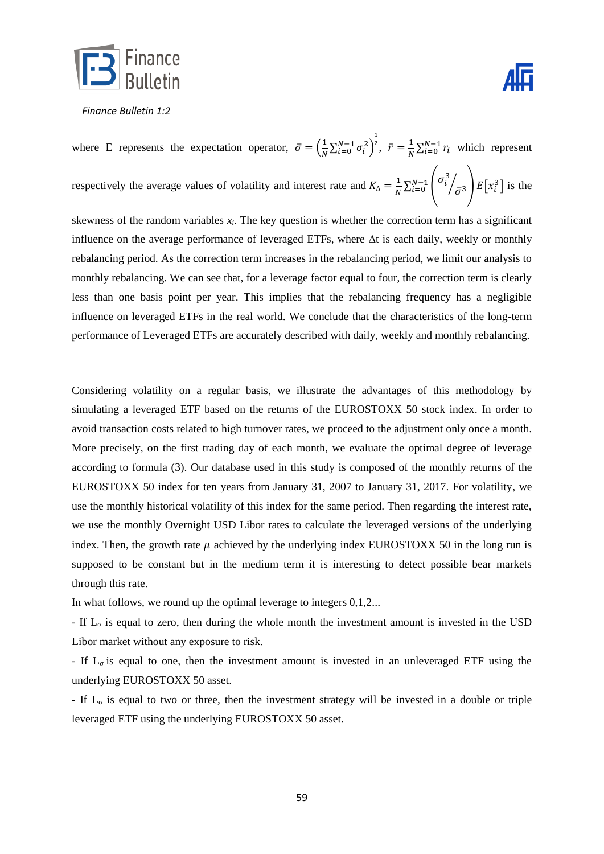

where E represents the expectation operator,  $\bar{\sigma} = \left(\frac{1}{N}\right)$  $\frac{1}{N}\sum_{i=0}^{N-1}\sigma_i^2\right)$  $\mathbf{1}$  $\overline{r}$ ,  $\overline{r} = \frac{1}{r}$  $\frac{1}{N} \sum_{i=0}^{N-1} r_i$  which represent respectively the average values of volatility and interest rate and  $K_{\Delta} = \frac{1}{N}$  $\frac{1}{N} \sum_{i=0}^{N-1} \left( \sigma_i^3 \right)$  $\begin{bmatrix} N-1 \\ i=0 \end{bmatrix}$   $\begin{bmatrix} \sigma_i \\ \bar{\sigma}^3 \end{bmatrix}$   $E[x_i^3]$  is the

skewness of the random variables  $x_i$ . The key question is whether the correction term has a significant influence on the average performance of leveraged ETFs, where  $\Delta t$  is each daily, weekly or monthly rebalancing period. As the correction term increases in the rebalancing period, we limit our analysis to monthly rebalancing. We can see that, for a leverage factor equal to four, the correction term is clearly less than one basis point per year. This implies that the rebalancing frequency has a negligible influence on leveraged ETFs in the real world. We conclude that the characteristics of the long-term performance of Leveraged ETFs are accurately described with daily, weekly and monthly rebalancing.

Considering volatility on a regular basis, we illustrate the advantages of this methodology by simulating a leveraged ETF based on the returns of the EUROSTOXX 50 stock index. In order to avoid transaction costs related to high turnover rates, we proceed to the adjustment only once a month. More precisely, on the first trading day of each month, we evaluate the optimal degree of leverage according to formula (3). Our database used in this study is composed of the monthly returns of the EUROSTOXX 50 index for ten years from January 31, 2007 to January 31, 2017. For volatility, we use the monthly historical volatility of this index for the same period. Then regarding the interest rate, we use the monthly Overnight USD Libor rates to calculate the leveraged versions of the underlying index. Then, the growth rate  $\mu$  achieved by the underlying index EUROSTOXX 50 in the long run is supposed to be constant but in the medium term it is interesting to detect possible bear markets through this rate.

In what follows, we round up the optimal leverage to integers 0,1,2...

- If  $L_{\sigma}$  is equal to zero, then during the whole month the investment amount is invested in the USD Libor market without any exposure to risk.

- If  $L_{\sigma}$  is equal to one, then the investment amount is invested in an unleveraged ETF using the underlying EUROSTOXX 50 asset.

- If  $L_{\sigma}$  is equal to two or three, then the investment strategy will be invested in a double or triple leveraged ETF using the underlying EUROSTOXX 50 asset.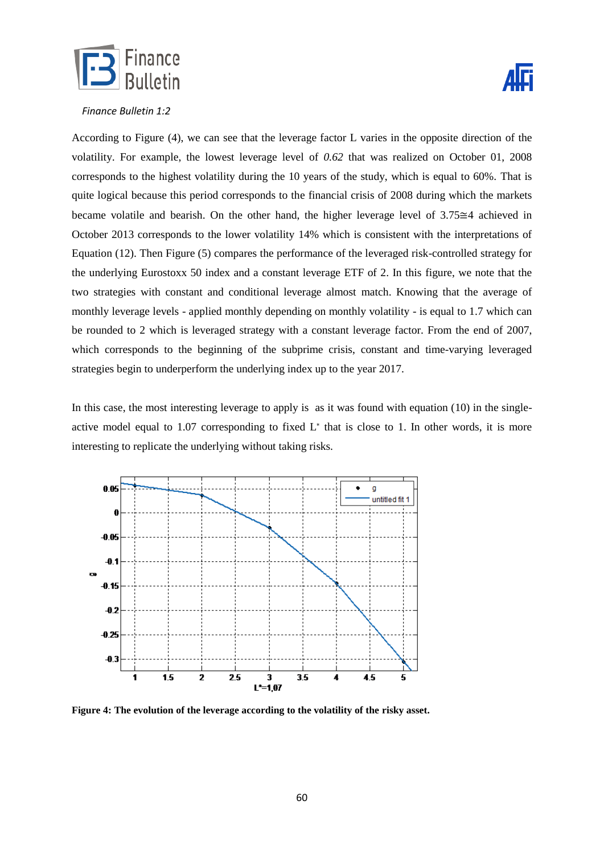



According to Figure (4), we can see that the leverage factor L varies in the opposite direction of the volatility. For example, the lowest leverage level of *0.62* that was realized on October 01, 2008 corresponds to the highest volatility during the 10 years of the study, which is equal to 60%. That is quite logical because this period corresponds to the financial crisis of 2008 during which the markets became volatile and bearish. On the other hand, the higher leverage level of  $3.75 \cong 4$  achieved in October 2013 corresponds to the lower volatility 14% which is consistent with the interpretations of Equation (12). Then Figure (5) compares the performance of the leveraged risk-controlled strategy for the underlying Eurostoxx 50 index and a constant leverage ETF of 2. In this figure, we note that the two strategies with constant and conditional leverage almost match. Knowing that the average of monthly leverage levels - applied monthly depending on monthly volatility - is equal to 1.7 which can be rounded to 2 which is leveraged strategy with a constant leverage factor. From the end of 2007, which corresponds to the beginning of the subprime crisis, constant and time-varying leveraged strategies begin to underperform the underlying index up to the year 2017.

In this case, the most interesting leverage to apply is as it was found with equation (10) in the singleactive model equal to  $1.07$  corresponding to fixed  $L^*$  that is close to 1. In other words, it is more interesting to replicate the underlying without taking risks.



**Figure 4: The evolution of the leverage according to the volatility of the risky asset.**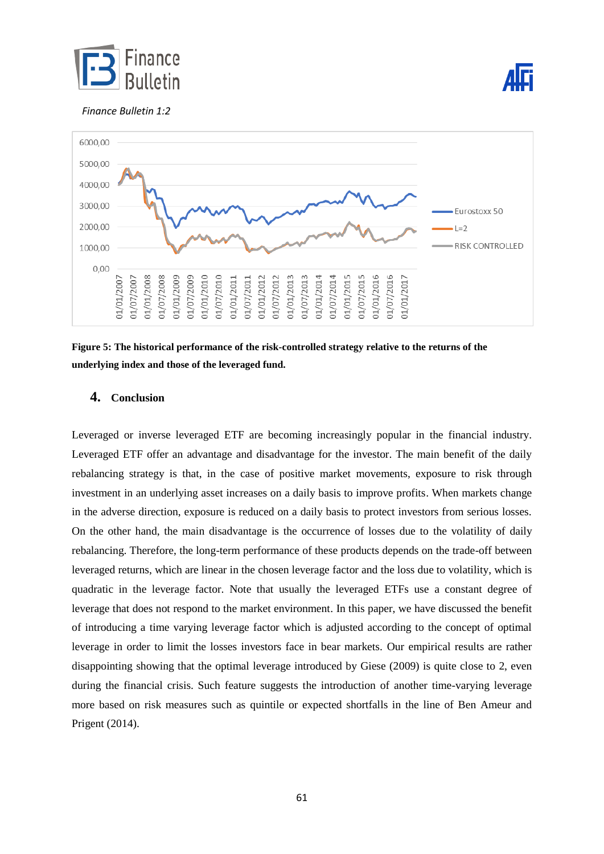





**Figure 5: The historical performance of the risk-controlled strategy relative to the returns of the underlying index and those of the leveraged fund.**

# **4. Conclusion**

Leveraged or inverse leveraged ETF are becoming increasingly popular in the financial industry. Leveraged ETF offer an advantage and disadvantage for the investor. The main benefit of the daily rebalancing strategy is that, in the case of positive market movements, exposure to risk through investment in an underlying asset increases on a daily basis to improve profits. When markets change in the adverse direction, exposure is reduced on a daily basis to protect investors from serious losses. On the other hand, the main disadvantage is the occurrence of losses due to the volatility of daily rebalancing. Therefore, the long-term performance of these products depends on the trade-off between leveraged returns, which are linear in the chosen leverage factor and the loss due to volatility, which is quadratic in the leverage factor. Note that usually the leveraged ETFs use a constant degree of leverage that does not respond to the market environment. In this paper, we have discussed the benefit of introducing a time varying leverage factor which is adjusted according to the concept of optimal leverage in order to limit the losses investors face in bear markets. Our empirical results are rather disappointing showing that the optimal leverage introduced by Giese (2009) is quite close to 2, even during the financial crisis. Such feature suggests the introduction of another time-varying leverage more based on risk measures such as quintile or expected shortfalls in the line of Ben Ameur and Prigent (2014).